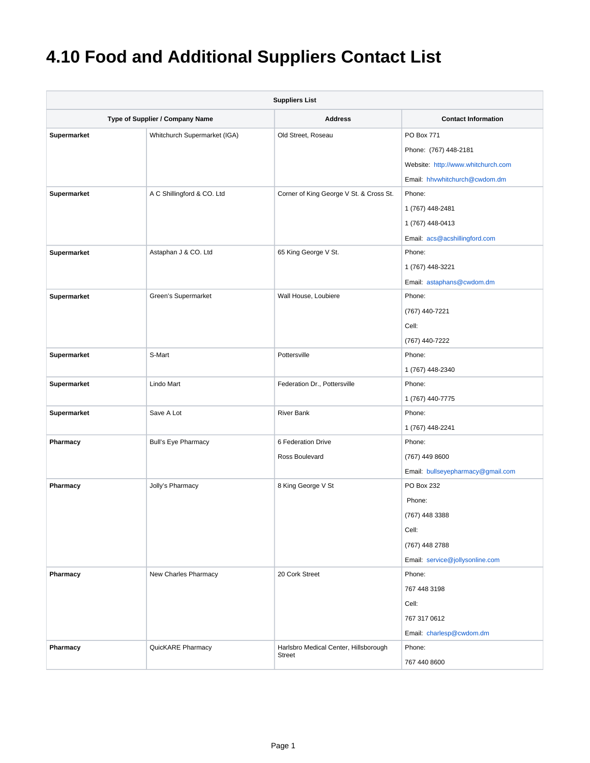## **4.10 Food and Additional Suppliers Contact List**

| <b>Suppliers List</b> |                                 |                                                        |                                    |
|-----------------------|---------------------------------|--------------------------------------------------------|------------------------------------|
|                       | Type of Supplier / Company Name | <b>Address</b>                                         | <b>Contact Information</b>         |
| Supermarket           | Whitchurch Supermarket (IGA)    | Old Street, Roseau                                     | <b>PO Box 771</b>                  |
|                       |                                 |                                                        | Phone: (767) 448-2181              |
|                       |                                 |                                                        | Website: http://www.whitchurch.com |
|                       |                                 |                                                        | Email: hhvwhitchurch@cwdom.dm      |
| Supermarket           | A C Shillingford & CO. Ltd      | Corner of King George V St. & Cross St.                | Phone:                             |
|                       |                                 |                                                        | 1 (767) 448-2481                   |
|                       |                                 |                                                        | 1 (767) 448-0413                   |
|                       |                                 |                                                        | Email: acs@acshillingford.com      |
| <b>Supermarket</b>    | Astaphan J & CO. Ltd            | 65 King George V St.                                   | Phone:                             |
|                       |                                 |                                                        | 1 (767) 448-3221                   |
|                       |                                 |                                                        | Email: astaphans@cwdom.dm          |
| Supermarket           | Green's Supermarket             | Wall House, Loubiere                                   | Phone:                             |
|                       |                                 |                                                        | (767) 440-7221                     |
|                       |                                 |                                                        | Cell:                              |
|                       |                                 |                                                        | (767) 440-7222                     |
| Supermarket           | S-Mart                          | Pottersville                                           | Phone:                             |
|                       |                                 |                                                        | 1 (767) 448-2340                   |
| <b>Supermarket</b>    | Lindo Mart                      | Federation Dr., Pottersville                           | Phone:                             |
|                       |                                 |                                                        | 1 (767) 440-7775                   |
| <b>Supermarket</b>    | Save A Lot                      | <b>River Bank</b>                                      | Phone:                             |
|                       |                                 |                                                        | 1 (767) 448-2241                   |
| Pharmacy              | <b>Bull's Eye Pharmacy</b>      | 6 Federation Drive                                     | Phone:                             |
|                       |                                 | Ross Boulevard                                         | (767) 449 8600                     |
|                       |                                 |                                                        | Email: bullseyepharmacy@gmail.com  |
| Pharmacy              | Jolly's Pharmacy                | 8 King George V St                                     | PO Box 232                         |
|                       |                                 |                                                        | Phone:                             |
|                       |                                 |                                                        | (767) 448 3388                     |
|                       |                                 |                                                        | Cell:                              |
|                       |                                 |                                                        | (767) 448 2788                     |
|                       |                                 |                                                        | Email: service@jollysonline.com    |
| Pharmacy              | New Charles Pharmacy            | 20 Cork Street                                         | Phone:                             |
|                       |                                 |                                                        | 767 448 3198                       |
|                       |                                 |                                                        | Cell:                              |
|                       |                                 |                                                        | 767 317 0612                       |
|                       |                                 |                                                        | Email: charlesp@cwdom.dm           |
| Pharmacy              | QuicKARE Pharmacy               | Harlsbro Medical Center, Hillsborough<br><b>Street</b> | Phone:                             |
|                       |                                 |                                                        | 767 440 8600                       |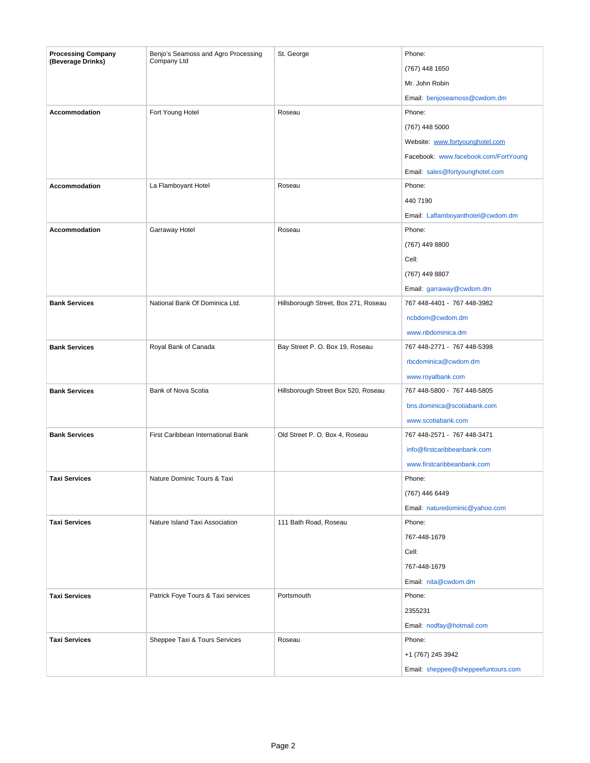| <b>Processing Company</b> | Benjo's Seamoss and Agro Processing | St. George                           | Phone:                               |
|---------------------------|-------------------------------------|--------------------------------------|--------------------------------------|
| (Beverage Drinks)         | Company Ltd                         |                                      | (767) 448 1650                       |
|                           |                                     |                                      | Mr. John Robin                       |
|                           |                                     |                                      | Email: benjoseamoss@cwdom.dm         |
| Accommodation             | Fort Young Hotel                    | Roseau                               | Phone:                               |
|                           |                                     |                                      | (767) 448 5000                       |
|                           |                                     |                                      | Website: www.fortyounghotel.com      |
|                           |                                     |                                      | Facebook: www.facebook.com/FortYoung |
|                           |                                     |                                      | Email: sales@fortyounghotel.com      |
| Accommodation             | La Flamboyant Hotel                 | Roseau                               | Phone:                               |
|                           |                                     |                                      | 440 7190                             |
|                           |                                     |                                      | Email: Laflamboyanthotel@cwdom.dm    |
| Accommodation             | Garraway Hotel                      | Roseau                               | Phone:                               |
|                           |                                     |                                      | (767) 449 8800                       |
|                           |                                     |                                      | Cell:                                |
|                           |                                     |                                      | (767) 449 8807                       |
|                           |                                     |                                      | Email: garraway@cwdom.dm             |
| <b>Bank Services</b>      | National Bank Of Dominica Ltd.      | Hillsborough Street, Box 271, Roseau | 767 448-4401 - 767 448-3982          |
|                           |                                     |                                      | ncbdom@cwdom.dm                      |
|                           |                                     |                                      | www.nbdominica.dm                    |
| <b>Bank Services</b>      | Royal Bank of Canada                | Bay Street P. O. Box 19, Roseau      | 767 448-2771 - 767 448-5398          |
|                           |                                     |                                      | rbcdominica@cwdom.dm                 |
|                           |                                     |                                      | www.royalbank.com                    |
| <b>Bank Services</b>      | Bank of Nova Scotia                 | Hillsborough Street Box 520, Roseau  | 767 448-5800 - 767 448-5805          |
|                           |                                     |                                      | bns.dominica@scotiabank.com          |
|                           |                                     |                                      | www.scotiabank.com                   |
| <b>Bank Services</b>      | First Caribbean International Bank  | Old Street P. O. Box 4, Roseau       | 767 448-2571 - 767 448-3471          |
|                           |                                     |                                      | info@firstcaribbeanbank.com          |
|                           |                                     |                                      | www.firstcaribbeanbank.com           |
| Taxi Services             | Nature Dominic Tours & Taxi         |                                      | Phone:                               |
|                           |                                     |                                      | (767) 446 6449                       |
|                           |                                     |                                      | Email: naturedominic@yahoo.com       |
| <b>Taxi Services</b>      | Nature Island Taxi Association      | 111 Bath Road, Roseau                | Phone:                               |
|                           |                                     |                                      | 767-448-1679                         |
|                           |                                     |                                      | Cell:                                |
|                           |                                     |                                      | 767-448-1679                         |
|                           |                                     |                                      | Email: nita@cwdom.dm                 |
| <b>Taxi Services</b>      | Patrick Foye Tours & Taxi services  | Portsmouth                           | Phone:                               |
|                           |                                     |                                      | 2355231                              |
|                           |                                     |                                      | Email: nodfay@hotmail.com            |
| <b>Taxi Services</b>      | Sheppee Taxi & Tours Services       | Roseau                               | Phone:                               |
|                           |                                     |                                      | +1 (767) 245 3942                    |
|                           |                                     |                                      | Email: sheppee@sheppeefuntours.com   |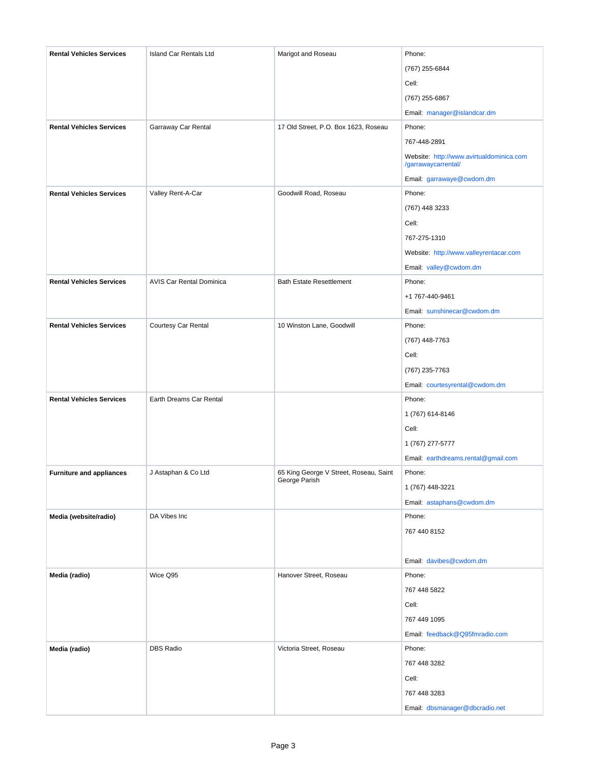| <b>Rental Vehicles Services</b> | <b>Island Car Rentals Ltd</b>   | Marigot and Roseau                                      | Phone:                                                          |
|---------------------------------|---------------------------------|---------------------------------------------------------|-----------------------------------------------------------------|
|                                 |                                 |                                                         | (767) 255-6844                                                  |
|                                 |                                 |                                                         | Cell:                                                           |
|                                 |                                 |                                                         | (767) 255-6867                                                  |
|                                 |                                 |                                                         | Email: manager@islandcar.dm                                     |
| <b>Rental Vehicles Services</b> | Garraway Car Rental             | 17 Old Street, P.O. Box 1623, Roseau                    | Phone:                                                          |
|                                 |                                 |                                                         | 767-448-2891                                                    |
|                                 |                                 |                                                         | Website: http://www.avirtualdominica.com<br>/garrawaycarrental/ |
|                                 |                                 |                                                         | Email: garrawaye@cwdom.dm                                       |
| <b>Rental Vehicles Services</b> | Valley Rent-A-Car               | Goodwill Road, Roseau                                   | Phone:                                                          |
|                                 |                                 |                                                         | (767) 448 3233                                                  |
|                                 |                                 |                                                         | Cell:                                                           |
|                                 |                                 |                                                         | 767-275-1310                                                    |
|                                 |                                 |                                                         | Website: http://www.valleyrentacar.com                          |
|                                 |                                 |                                                         | Email: valley@cwdom.dm                                          |
| <b>Rental Vehicles Services</b> | <b>AVIS Car Rental Dominica</b> | <b>Bath Estate Resettlement</b>                         | Phone:                                                          |
|                                 |                                 |                                                         | +1 767-440-9461                                                 |
|                                 |                                 |                                                         | Email: sunshinecar@cwdom.dm                                     |
| <b>Rental Vehicles Services</b> | Courtesy Car Rental             | 10 Winston Lane, Goodwill                               | Phone:                                                          |
|                                 |                                 |                                                         | (767) 448-7763                                                  |
|                                 |                                 |                                                         | Cell:                                                           |
|                                 |                                 |                                                         | (767) 235-7763                                                  |
|                                 |                                 |                                                         | Email: courtesyrental@cwdom.dm                                  |
| <b>Rental Vehicles Services</b> | Earth Dreams Car Rental         |                                                         | Phone:                                                          |
|                                 |                                 |                                                         | 1 (767) 614-8146                                                |
|                                 |                                 |                                                         | Cell:                                                           |
|                                 |                                 |                                                         | 1 (767) 277-5777                                                |
|                                 |                                 |                                                         | Email: earthdreams.rental@gmail.com                             |
| <b>Furniture and appliances</b> | J Astaphan & Co Ltd             | 65 King George V Street, Roseau, Saint<br>George Parish | Phone:                                                          |
|                                 |                                 |                                                         | 1 (767) 448-3221                                                |
|                                 |                                 |                                                         | Email: astaphans@cwdom.dm                                       |
| Media (website/radio)           | DA Vibes Inc                    |                                                         | Phone:                                                          |
|                                 |                                 |                                                         | 767 440 8152                                                    |
|                                 |                                 |                                                         |                                                                 |
|                                 | Wice Q95                        | Hanover Street, Roseau                                  | Email: davibes@cwdom.dm<br>Phone:                               |
| Media (radio)                   |                                 |                                                         | 767 448 5822                                                    |
|                                 |                                 |                                                         | Cell:                                                           |
|                                 |                                 |                                                         |                                                                 |
|                                 |                                 |                                                         | 767 449 1095                                                    |
| Media (radio)                   | <b>DBS Radio</b>                | Victoria Street, Roseau                                 | Email: feedback@Q95fmradio.com<br>Phone:                        |
|                                 |                                 |                                                         | 767 448 3282                                                    |
|                                 |                                 |                                                         | Cell:                                                           |
|                                 |                                 |                                                         |                                                                 |
|                                 |                                 |                                                         | 767 448 3283                                                    |
|                                 |                                 |                                                         | Email: dbsmanager@dbcradio.net                                  |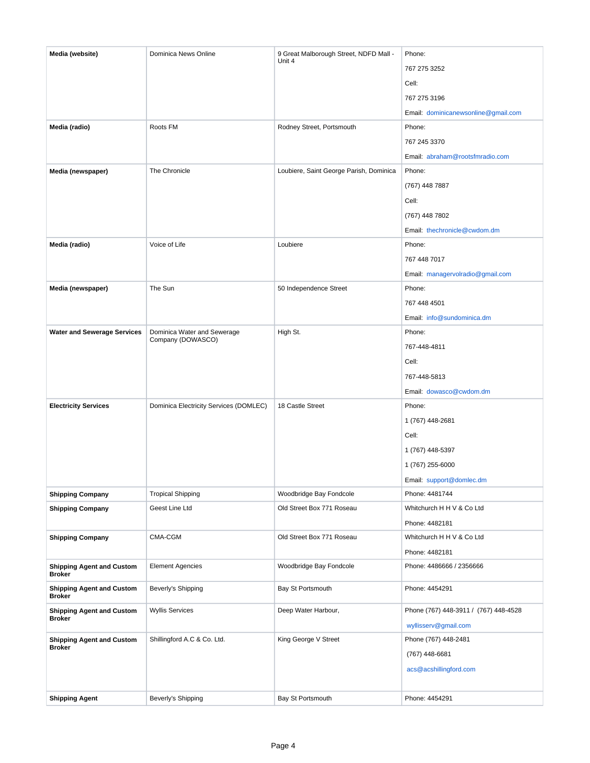| Media (website)                                   | Dominica News Online                   | 9 Great Malborough Street, NDFD Mall -  | Phone:                                |
|---------------------------------------------------|----------------------------------------|-----------------------------------------|---------------------------------------|
|                                                   |                                        | Unit 4                                  | 767 275 3252                          |
|                                                   |                                        |                                         | Cell:                                 |
|                                                   |                                        |                                         | 767 275 3196                          |
|                                                   |                                        |                                         | Email: dominicanewsonline@gmail.com   |
| Media (radio)                                     | Roots FM                               | Rodney Street, Portsmouth               | Phone:                                |
|                                                   |                                        |                                         | 767 245 3370                          |
|                                                   |                                        |                                         | Email: abraham@rootsfmradio.com       |
| Media (newspaper)                                 | The Chronicle                          | Loubiere, Saint George Parish, Dominica | Phone:                                |
|                                                   |                                        |                                         | (767) 448 7887                        |
|                                                   |                                        |                                         | Cell:                                 |
|                                                   |                                        |                                         | (767) 448 7802                        |
|                                                   |                                        |                                         | Email: thechronicle@cwdom.dm          |
| Media (radio)                                     | Voice of Life                          | Loubiere                                | Phone:                                |
|                                                   |                                        |                                         | 767 448 7017                          |
|                                                   |                                        |                                         | Email: managervolradio@gmail.com      |
| Media (newspaper)                                 | The Sun                                | 50 Independence Street                  | Phone:                                |
|                                                   |                                        |                                         | 767 448 4501                          |
|                                                   |                                        |                                         | Email: info@sundominica.dm            |
| <b>Water and Sewerage Services</b>                | Dominica Water and Sewerage            | High St.                                | Phone:                                |
|                                                   | Company (DOWASCO)                      |                                         | 767-448-4811                          |
|                                                   |                                        |                                         | Cell:                                 |
|                                                   |                                        |                                         | 767-448-5813                          |
|                                                   |                                        |                                         | Email: dowasco@cwdom.dm               |
| <b>Electricity Services</b>                       | Dominica Electricity Services (DOMLEC) | 18 Castle Street                        | Phone:                                |
|                                                   |                                        |                                         | 1 (767) 448-2681                      |
|                                                   |                                        |                                         | Cell:                                 |
|                                                   |                                        |                                         | 1 (767) 448-5397                      |
|                                                   |                                        |                                         | 1 (767) 255-6000                      |
|                                                   |                                        |                                         | Email: support@domlec.dm              |
| <b>Shipping Company</b>                           | <b>Tropical Shipping</b>               | Woodbridge Bay Fondcole                 | Phone: 4481744                        |
| <b>Shipping Company</b>                           | Geest Line Ltd                         | Old Street Box 771 Roseau               | Whitchurch H H V & Co Ltd             |
|                                                   |                                        |                                         | Phone: 4482181                        |
| <b>Shipping Company</b>                           | CMA-CGM                                | Old Street Box 771 Roseau               | Whitchurch H H V & Co Ltd             |
|                                                   |                                        |                                         | Phone: 4482181                        |
| <b>Shipping Agent and Custom</b><br><b>Broker</b> | <b>Element Agencies</b>                | Woodbridge Bay Fondcole                 | Phone: 4486666 / 2356666              |
| <b>Shipping Agent and Custom</b><br><b>Broker</b> | Beverly's Shipping                     | Bay St Portsmouth                       | Phone: 4454291                        |
| <b>Shipping Agent and Custom</b><br><b>Broker</b> | <b>Wyllis Services</b>                 | Deep Water Harbour,                     | Phone (767) 448-3911 / (767) 448-4528 |
|                                                   |                                        |                                         | wyllisserv@gmail.com                  |
| <b>Shipping Agent and Custom</b><br><b>Broker</b> | Shillingford A.C & Co. Ltd.            | King George V Street                    | Phone (767) 448-2481                  |
|                                                   |                                        |                                         | (767) 448-6681                        |
|                                                   |                                        |                                         | acs@acshillingford.com                |
|                                                   |                                        | Bay St Portsmouth                       | Phone: 4454291                        |
| <b>Shipping Agent</b>                             | Beverly's Shipping                     |                                         |                                       |